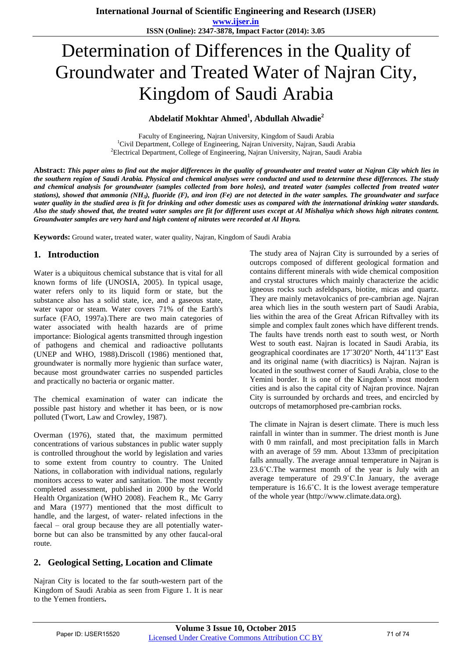# Determination of Differences in the Quality of Groundwater and Treated Water of Najran City, Kingdom of Saudi Arabia

#### **Abdelatif Mokhtar Ahmed<sup>1</sup> , Abdullah Alwadie<sup>2</sup>**

Faculty of Engineering, Najran University, Kingdom of Saudi Arabia <sup>1</sup>Civil Department, College of Engineering, Najran University, Najran, Saudi Arabia <sup>2</sup>Electrical Department, College of Engineering, Najran University, Najran, Saudi Arabia

**Abstract:** *This paper aims to find out the major differences in the quality of groundwater and treated water at Najran City which lies in the southern region of Saudi Arabia. Physical and chemical analyses were conducted and used to determine these differences. The study and chemical analysis for groundwater (samples collected from bore holes), and treated water (samples collected from treated water stations), showed that ammonia (NH<sup>3</sup> ), fluoride (F), and iron (Fe) are not detected in the water samples. The groundwater and surface water quality in the studied area is fit for drinking and other domestic uses as compared with the international drinking water standards. Also the study showed that, the treated water samples are fit for different uses except at Al Mishaliya which shows high nitrates content. Groundwater samples are very hard and high content of nitrates were recorded at Al Hayra.*

**Keywords:** Ground water**,** treated water, water quality, Najran, Kingdom of Saudi Arabia

#### **1. Introduction**

Water is a ubiquitous chemical substance that is vital for all known forms of life (UNOSIA, 2005). In typical usage, water refers only to its liquid form or state, but the substance also has a solid state, ice, and a gaseous state, water vapor or steam. Water covers 71% of the Earth's surface (FAO, 1997a).There are two main categories of water associated with health hazards are of prime importance: Biological agents transmitted through ingestion of pathogens and chemical and radioactive pollutants (UNEP and WHO, 1988).Driscoll (1986) mentioned that, groundwater is normally more hygienic than surface water, because most groundwater carries no suspended particles and practically no bacteria or organic matter.

The chemical examination of water can indicate the possible past history and whether it has been, or is now polluted (Twort, Law and Crowley, 1987).

Overman (1976), stated that, the maximum permitted concentrations of various substances in public water supply is controlled throughout the world by legislation and varies to some extent from country to country. The United Nations, in collaboration with individual nations, regularly monitors access to water and sanitation. The most recently completed assessment, published in 2000 by the World Health Organization (WHO 2008). Feachem R., Mc Garry and Mara (1977) mentioned that the most difficult to handle, and the largest, of water- related infections in the faecal – oral group because they are all potentially waterborne but can also be transmitted by any other faucal-oral route.

#### **2. Geological Setting, Location and Climate**

Najran City is located to the far south-western part of the Kingdom of Saudi Arabia as seen from Figure 1. It is near to the Yemen frontiers**.** 

The study area of Najran City is surrounded by a series of outcrops composed of different geological formation and contains different minerals with wide chemical composition and crystal structures which mainly characterize the acidic igneous rocks such asfeldspars, biotite, micas and quartz. They are mainly metavolcanics of pre-cambrian age. Najran area which lies in the south western part of Saudi Arabia, lies within the area of the Great African Riftvalley with its simple and complex fault zones which have different trends. The faults have trends north east to south west, or North West to south east. Najran is located in Saudi Arabia, its geographical coordinates are 17˚30'20'' North, 44˚11'3'' East and its original name (with diacritics) is Najran. Najran is located in the southwest corner of Saudi Arabia, close to the Yemini border. It is one of the Kingdom's most modern cities and is also the capital city of Najran province. Najran City is surrounded by orchards and trees, and encircled by outcrops of metamorphosed pre-cambrian rocks.

The climate in Najran is desert climate. There is much less rainfall in winter than in summer. The driest month is June with 0 mm rainfall, and most precipitation falls in March with an average of 59 mm. About 133mm of precipitation falls annually. The average annual temperature in Najran is 23.6˚C.The warmest month of the year is July with an average temperature of 29.9˚C.In January, the average temperature is 16.6˚C. It is the lowest average temperature of the whole year (http://www.climate.data.org).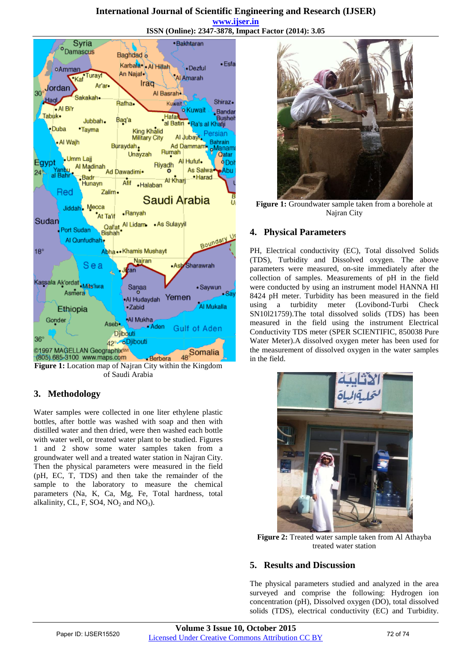#### **International Journal of Scientific Engineering and Research (IJSER) www.ijser.in ISSN (Online): 2347-3878, Impact Factor (2014): 3.05**



**Figure 1:** Location map of Najran City within the Kingdom of Saudi Arabia

## **3. Methodology**

Water samples were collected in one liter ethylene plastic bottles, after bottle was washed with soap and then with distilled water and then dried, were then washed each bottle with water well, or treated water plant to be studied. Figures 1 and 2 show some water samples taken from a groundwater well and a treated water station in Najran City. Then the physical parameters were measured in the field (pH, EC, T, TDS) and then take the remainder of the sample to the laboratory to measure the chemical parameters (Na, K, Ca, Mg, Fe, Total hardness, total alkalinity, CL, F, SO4,  $NO<sub>2</sub>$  and  $NO<sub>3</sub>$ ).



**Figure 1:** Groundwater sample taken from a borehole at Najran City

#### **4. Physical Parameters**

PH, Electrical conductivity (EC), Total dissolved Solids (TDS), Turbidity and Dissolved oxygen. The above parameters were measured, on-site immediately after the collection of samples. Measurements of pH in the field were conducted by using an instrument model HANNA HI 8424 pH meter. Turbidity has been measured in the field using a turbidity meter (Lovibond-Turbi Check SN10l21759).The total dissolved solids (TDS) has been measured in the field using the instrument Electrical Conductivity TDS meter (SPER SCIENTIFIC, 850038 Pure Water Meter).A dissolved oxygen meter has been used for the measurement of dissolved oxygen in the water samples in the field.



**Figure 2:** Treated water sample taken from Al Athayba treated water station

## **5. Results and Discussion**

The physical parameters studied and analyzed in the area surveyed and comprise the following: Hydrogen ion concentration (pH), Dissolved oxygen (DO), total dissolved solids (TDS), electrical conductivity (EC) and Turbidity.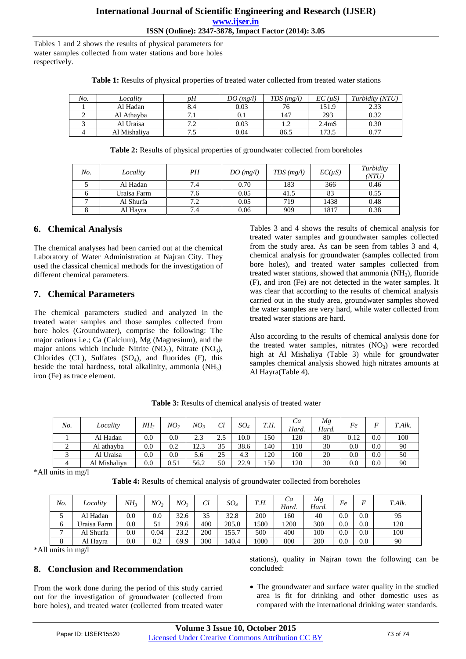Tables 1 and 2 shows the results of physical parameters for water samples collected from water stations and bore holes respectively.

| No. | Locality     | pН       | DO(mg/l) | $TDS$ (mg/l) | EC (uS)            | Turbidity (NTU) |
|-----|--------------|----------|----------|--------------|--------------------|-----------------|
|     | Al Hadan     |          | 0.03     |              | 151.9              | 2.33            |
| ∸   | Al Athavba   |          | $0.1\,$  | 147          | 293                | 0.32            |
|     | Al Uraisa    | ר ה<br>. | 0.03     |              | 2.4 <sub>m</sub> S | 0.30            |
|     | Al Mishaliya |          | 0.04     | 86.5         | 173.5              | 0.77            |

**Table 1:** Results of physical properties of treated water collected from treated water stations

**Table 2:** Results of physical properties of groundwater collected from boreholes

| No. | Locality    | PН  | DO(mg/l) | TDS(mg/l) | $EC(\mu S)$ | Turbidity<br>(NTU |  |
|-----|-------------|-----|----------|-----------|-------------|-------------------|--|
|     | Al Hadan    | 7.4 | 0.70     | 183       | 366         | 0.46              |  |
|     | Uraisa Farm | 7.6 | 0.05     | 41.5      |             | 0.55              |  |
|     | Al Shurfa   | 7.2 | 0.05     | 719       | 1438        | 0.48              |  |
|     | Al Hayra    | 7.4 | 0.06     | 909       | 1817        | 0.38              |  |

#### **6. Chemical Analysis**

The chemical analyses had been carried out at the chemical Laboratory of Water Administration at Najran City. They used the classical chemical methods for the investigation of different chemical parameters.

#### **7. Chemical Parameters**

The chemical parameters studied and analyzed in the treated water samples and those samples collected from bore holes (Groundwater), comprise the following: The major cations i.e.; Ca (Calcium), Mg (Magnesium), and the major anions which include Nitrite  $(NO_2)$ , Nitrate  $(NO_3)$ , Chlorides (CL), Sulfates  $(SO<sub>4</sub>)$ , and fluorides  $(F)$ , this beside the total hardness, total alkalinity, ammonia  $(NH_3)$ iron (Fe) as trace element.

Tables 3 and 4 shows the results of chemical analysis for treated water samples and groundwater samples collected from the study area. As can be seen from tables 3 and 4, chemical analysis for groundwater (samples collected from bore holes), and treated water samples collected from treated water stations, showed that ammonia  $(NH<sub>3</sub>)$ , fluoride (F), and iron (Fe) are not detected in the water samples. It was clear that according to the results of chemical analysis carried out in the study area, groundwater samples showed the water samples are very hard, while water collected from treated water stations are hard.

Also according to the results of chemical analysis done for the treated water samples, nitrates  $(NO<sub>3</sub>)$  were recorded high at Al Mishaliya (Table 3) while for groundwater samples chemical analysis showed high nitrates amounts at Al Hayra(Table 4).

| No. | Locality     | $NH_{3}$ | NO <sub>2</sub> | $NO_{3}$ | Сl       | SO <sub>4</sub> | T.H. | Ca<br>Hard. | Мg<br>Hard. | Fe   | F   | T.Alk. |
|-----|--------------|----------|-----------------|----------|----------|-----------------|------|-------------|-------------|------|-----|--------|
|     | Al Hadan     | 0.0      | 0.0             | 2.3      | ◠<br>ن ک | 10.0            | 150  | 120         | 80          | 0.12 | 0.0 | 100    |
| ∠   | Al athavba   | 0.0      | 0.2             | 12.3     | 35       | 38.6            | 140  | 110         | 30          | 0.0  | 0.0 | 90     |
|     | Al Uraisa    | 0.0      | 0.0             | 5.6      | 25       | 4.3             | 120  | 100         | 20          | 0.0  | 0.0 | 50     |
|     | Al Mishaliva | 0.0      | 0.51            | 56.2     | 50       | 22.9            | 150  | 120         | 30          | 0.0  | 0.0 | 90     |

**Table 3:** Results of chemical analysis of treated water

\*All units in mg/l

**Table 4:** Results of chemical analysis of groundwater collected from boreholes

| No.            | Locality    | NH. | NO <sub>2</sub> | NO:  | Cl  | $SO_4$ | T.H. | Ca<br>Hard. | Mg<br>Hard. | Fe  | F   | T.Alk. |
|----------------|-------------|-----|-----------------|------|-----|--------|------|-------------|-------------|-----|-----|--------|
|                | Al Hadan    | 0.0 | 0.0             | 32.6 | 35  | 32.8   | 200  | 160         | 40          | 0.0 | 0.0 | 95     |
| 6              | Uraisa Farm | 0.0 | 51              | 29.6 | 400 | 205.0  | 1500 | 1200        | 300         | 0.0 | 0.0 | 120    |
| $\overline{ }$ | Al Shurfa   | 0.0 | 0.04            | 23.2 | 200 | 155.7  | 500  | 400         | 100         | 0.0 | 0.0 | 100    |
| $\circ$        | Al Hayra    | 0.0 | 0.2             | 69.9 | 300 | 140.4  | 1000 | 800         | 200         | 0.0 | 0.0 | 90     |

\*All units in mg/l

# **8. Conclusion and Recommendation**

From the work done during the period of this study carried out for the investigation of groundwater (collected from bore holes), and treated water (collected from treated water

stations), quality in Najran town the following can be concluded:

 The groundwater and surface water quality in the studied area is fit for drinking and other domestic uses as compared with the international drinking water standards.